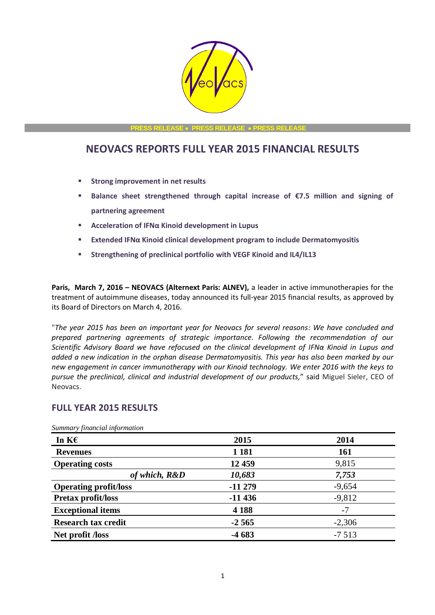

**PRESS RELEASE PRESS RELEASE PRESS RELEASE**

# **NEOVACS REPORTS FULL YEAR 2015 FINANCIAL RESULTS**

- **Strong improvement in net results**
- **Balance sheet strengthened through capital increase of €7.5 million and signing of partnering agreement**
- **Acceleration of IFNα Kinoid development in Lupus**
- **Extended IFNα Kinoid clinical development program to include Dermatomyositis**
- **Strengthening of preclinical portfolio with VEGF Kinoid and IL4/IL13**

**Paris, March 7, 2016 – NEOVACS (Alternext Paris: ALNEV),** a leader in active immunotherapies for the treatment of autoimmune diseases, today announced its full-year 2015 financial results, as approved by its Board of Directors on March 4, 2016.

"*The year 2015 has been an important year for Neovacs for several reasons: We have concluded and prepared partnering agreements of strategic importance. Following the recommendation of our Scientific Advisory Board we have refocused on the clinical development of IFNα Kinoid in Lupus and added a new indication in the orphan disease Dermatomyositis. This year has also been marked by our new engagement in cancer immunotherapy with our Kinoid technology. We enter 2016 with the keys to pursue the preclinical, clinical and industrial development of our products,*" said Miguel Sieler, CEO of Neovacs.

# **FULL YEAR 2015 RESULTS**

| 2015     | 2014     |
|----------|----------|
| 1 1 8 1  | 161      |
| 12 459   | 9,815    |
| 10,683   | 7,753    |
| $-11279$ | $-9,654$ |
| $-11436$ | $-9,812$ |
| 4 1 8 8  | $-7$     |
| $-2,565$ | $-2,306$ |
| $-4683$  | $-7513$  |
|          |          |

*Summary financial information*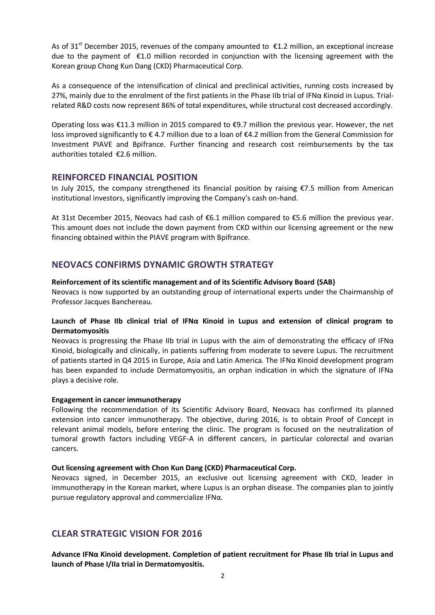As of 31<sup>st</sup> December 2015, revenues of the company amounted to  $\epsilon$ 1.2 million, an exceptional increase due to the payment of €1.0 million recorded in conjunction with the licensing agreement with the Korean group Chong Kun Dang (CKD) Pharmaceutical Corp.

As a consequence of the intensification of clinical and preclinical activities, running costs increased by 27%, mainly due to the enrolment of the first patients in the Phase IIb trial of IFNα Kinoid in Lupus. Trialrelated R&D costs now represent 86% of total expenditures, while structural cost decreased accordingly.

Operating loss was €11.3 million in 2015 compared to €9.7 million the previous year. However, the net loss improved significantly to € 4.7 million due to a loan of €4.2 million from the General Commission for Investment PIAVE and Bpifrance. Further financing and research cost reimbursements by the tax authorities totaled €2.6 million.

### **REINFORCED FINANCIAL POSITION**

In July 2015, the company strengthened its financial position by raising €7.5 million from American institutional investors, significantly improving the Company's cash on-hand.

At 31st December 2015, Neovacs had cash of €6.1 million compared to €5.6 million the previous year. This amount does not include the down payment from CKD within our licensing agreement or the new financing obtained within the PIAVE program with Bpifrance.

## **NEOVACS CONFIRMS DYNAMIC GROWTH STRATEGY**

### **Reinforcement of its scientific management and of its Scientific Advisory Board (SAB)**

Neovacs is now supported by an outstanding group of international experts under the Chairmanship of Professor Jacques Banchereau.

### **Launch of Phase IIb clinical trial of IFNα Kinoid in Lupus and extension of clinical program to Dermatomyositis**

Neovacs is progressing the Phase IIb trial in Lupus with the aim of demonstrating the efficacy of IFN $\alpha$ Kinoid, biologically and clinically, in patients suffering from moderate to severe Lupus. The recruitment of patients started in Q4 2015 in Europe, Asia and Latin America. The IFNα Kinoid development program has been expanded to include Dermatomyositis, an orphan indication in which the signature of IFNa plays a decisive role.

### **Engagement in cancer immunotherapy**

Following the recommendation of its Scientific Advisory Board, Neovacs has confirmed its planned extension into cancer immunotherapy. The objective, during 2016, is to obtain Proof of Concept in relevant animal models, before entering the clinic. The program is focused on the neutralization of tumoral growth factors including VEGF-A in different cancers, in particular colorectal and ovarian cancers.

### **Out licensing agreement with Chon Kun Dang (CKD) Pharmaceutical Corp.**

Neovacs signed, in December 2015, an exclusive out licensing agreement with CKD, leader in immunotherapy in the Korean market, where Lupus is an orphan disease. The companies plan to jointly pursue regulatory approval and commercialize IFNα.

# **CLEAR STRATEGIC VISION FOR 2016**

**Advance IFNα Kinoid development. Completion of patient recruitment for Phase IIb trial in Lupus and launch of Phase I/IIa trial in Dermatomyositis.**